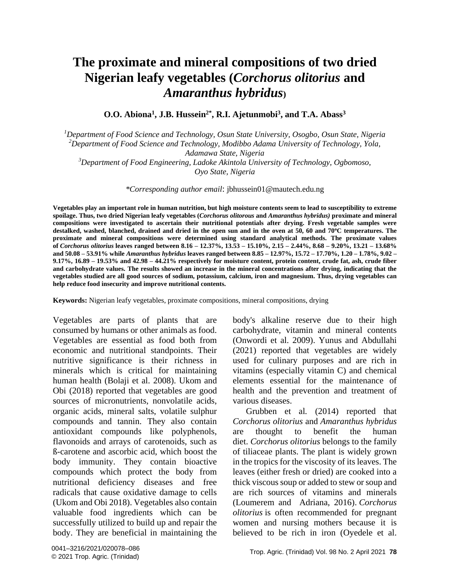**O.O. Abiona<sup>1</sup> , J.B. Hussein2\* , R.I. Ajetunmobi<sup>3</sup> , and T.A. Abass<sup>3</sup>**

*Department of Food Science and Technology, Osun State University, Osogbo, Osun State, Nigeria Department of Food Science and Technology, Modibbo Adama University of Technology, Yola, Adamawa State, Nigeria Department of Food Engineering, Ladoke Akintola University of Technology, Ogbomoso,*

*Oyo State, Nigeria*

*\*Corresponding author email*: [jbhussein01@mautech.edu.ng](mailto:jbhussein01@mautech.edu.ng)

**Vegetables play an important role in human nutrition, but high moisture contents seem to lead to susceptibility to extreme spoilage. Thus, two dried Nigerian leafy vegetables (***Corchorus olitorous* **and** *Amaranthus hybridus)* **proximate and mineral compositions were investigated to ascertain their nutritional potentials after drying. Fresh vegetable samples were destalked, washed, blanched, drained and dried in the open sun and in the oven at 50, 60 and 70<sup>o</sup>C temperatures. The proximate and mineral compositions were determined using standard analytical methods. The proximate values of** *Corchorus olitorius* **leaves ranged between 8.16 – 12.37%, 13.53 – 15.10%, 2.15 – 2.44%, 8.68 – 9.20%, 13.21 – 13.68% and 50.08 – 53.91% while** *Amaranthus hybridus* **leaves ranged between 8.85 – 12.97%, 15.72 – 17.70%, 1.20 – 1.78%, 9.02 – 9.17%, 16.89 – 19.53% and 42.98 – 44.21% respectively for moisture content, protein content, crude fat, ash, crude fiber and carbohydrate values. The results showed an increase in the mineral concentrations after drying, indicating that the vegetables studied are all good sources of sodium, potassium, calcium, iron and magnesium. Thus, drying vegetables can help reduce food insecurity and improve nutritional contents.** 

**Keywords:** Nigerian leafy vegetables, proximate compositions, mineral compositions, drying

Vegetables are parts of plants that are consumed by humans or other animals as food. Vegetables are essential as food both from economic and nutritional standpoints. Their nutritive significance is their richness in minerals which is critical for maintaining human health (Bolaji et al. 2008). Ukom and Obi (2018) reported that vegetables are good sources of micronutrients, nonvolatile acids, organic acids, mineral salts, volatile sulphur compounds and tannin. They also contain antioxidant compounds like polyphenols, flavonoids and arrays of carotenoids, such as ß-carotene and ascorbic acid, which boost the body immunity. They contain bioactive compounds which protect the body from nutritional deficiency diseases and free radicals that cause oxidative damage to cells (Ukom and Obi 2018). Vegetables also contain valuable food ingredients which can be successfully utilized to build up and repair the body. They are beneficial in maintaining the body's alkaline reserve due to their high carbohydrate, vitamin and mineral contents (Onwordi et al. 2009). Yunus and Abdullahi (2021) reported that vegetables are widely used for culinary purposes and are rich in vitamins (especially vitamin C) and chemical elements essential for the maintenance of health and the prevention and treatment of various diseases.

Grubben et al*.* (2014) reported that *Corchorus olitorius* and *Amaranthus hybridus* are thought to benefit the human diet. *Corchorus olitorius* belongs to the family of tiliaceae plants. The plant is widely grown in the tropics for the viscosity of its leaves. The leaves (either fresh or dried) are cooked into a thick viscous soup or added to stew or soup and are rich sources of vitamins and minerals (Loumerem and Adriana, 2016). *Corchorus olitorius* is often recommended for pregnant women and nursing mothers because it is believed to be rich in iron (Oyedele et al.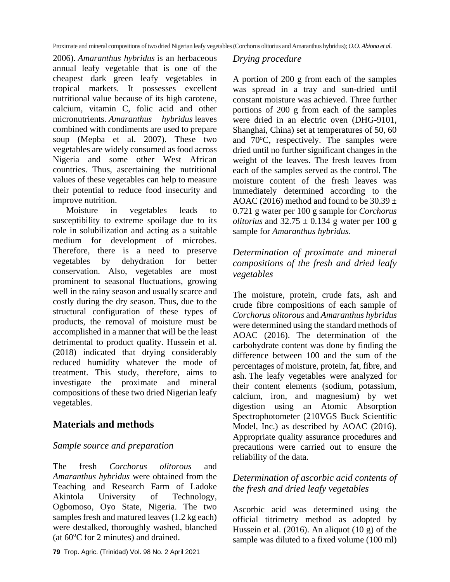2006). *Amaranthus hybridus* is an herbaceous annual leafy vegetable that is one of the cheapest dark green leafy vegetables in tropical markets. It possesses excellent nutritional value because of its high carotene, calcium, vitamin C, folic acid and other micronutrients. *Amaranthus hybridus* leaves combined with condiments are used to prepare soup (Mepba et al. 2007). These two vegetables are widely consumed as food across Nigeria and some other West African countries. Thus, ascertaining the nutritional values of these vegetables can help to measure their potential to reduce food insecurity and improve nutrition.

Moisture in vegetables leads to susceptibility to extreme spoilage due to its role in solubilization and acting as a suitable medium for development of microbes. Therefore, there is a need to preserve vegetables by dehydration for better conservation. Also, vegetables are most prominent to seasonal fluctuations, growing well in the rainy season and usually scarce and costly during the dry season. Thus, due to the structural configuration of these types of products, the removal of moisture must be accomplished in a manner that will be the least detrimental to product quality. Hussein et al. (2018) indicated that drying considerably reduced humidity whatever the mode of treatment. This study, therefore, aims to investigate the proximate and mineral compositions of these two dried Nigerian leafy vegetables.

# **Materials and methods**

#### *Sample source and preparation*

The fresh *Corchorus olitorous* and *Amaranthus hybridus* were obtained from the Teaching and Research Farm of Ladoke Akintola University of Technology, Ogbomoso, Oyo State, Nigeria. The two samples fresh and matured leaves (1.2 kg each) were destalked, thoroughly washed, blanched (at  $60^{\circ}$ C for 2 minutes) and drained.

#### *Drying procedure*

A portion of 200 g from each of the samples was spread in a tray and sun-dried until constant moisture was achieved. Three further portions of 200 g from each of the samples were dried in an electric oven (DHG-9101, Shanghai, China) set at temperatures of 50, 60 and  $70^{\circ}$ C, respectively. The samples were dried until no further significant changes in the weight of the leaves. The fresh leaves from each of the samples served as the control. The moisture content of the fresh leaves was immediately determined according to the AOAC (2016) method and found to be  $30.39 \pm$ 0.721 g water per 100 g sample for *Corchorus olitorius* and  $32.75 \pm 0.134$  g water per 100 g sample for *Amaranthus hybridus*.

## *Determination of proximate and mineral compositions of the fresh and dried leafy vegetables*

The moisture, protein, crude fats, ash and crude fibre compositions of each sample of *Corchorus olitorous* and *Amaranthus hybridus* were determined using the standard methods of AOAC (2016). The determination of the carbohydrate content was done by finding the difference between 100 and the sum of the percentages of moisture, protein, fat, fibre, and ash. The leafy vegetables were analyzed for their content elements (sodium, potassium, calcium, iron, and magnesium) by wet digestion using an Atomic Absorption Spectrophotometer (210VGS Buck Scientific Model, Inc.) as described by AOAC (2016). Appropriate quality assurance procedures and precautions were carried out to ensure the reliability of the data.

### *Determination of ascorbic acid contents of the fresh and dried leafy vegetables*

Ascorbic acid was determined using the official titrimetry method as adopted by Hussein et al. (2016). An aliquot (10 g) of the sample was diluted to a fixed volume (100 ml)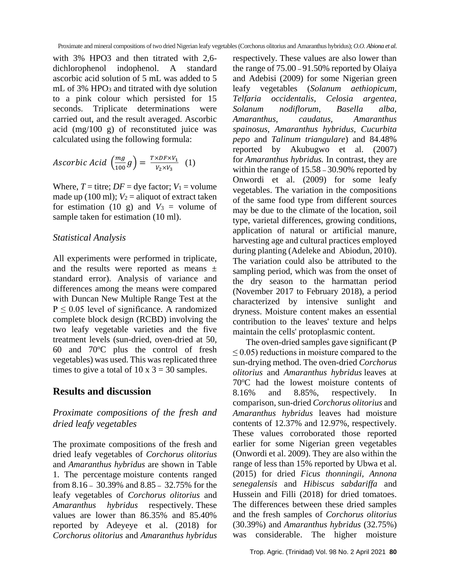with 3% HPO3 and then titrated with 2,6 dichlorophenol indophenol. A standard ascorbic acid solution of 5 mL was added to 5 mL of 3% HPO<sub>3</sub> and titrated with dye solution to a pink colour which persisted for 15 seconds. Triplicate determinations were carried out, and the result averaged. Ascorbic acid (mg/100 g) of reconstituted juice was calculated using the following formula:

$$
Ascorbic \; Acid \; \left(\frac{mg}{100}g\right) = \frac{T \times DF \times V_1}{V_2 \times V_3} \quad (1)
$$

Where,  $T =$  titre;  $DF =$  dye factor;  $V_1 =$  volume made up (100 ml);  $V_2$  = aliquot of extract taken for estimation (10 g) and  $V_3$  = volume of sample taken for estimation (10 ml).

#### *Statistical Analysis*

All experiments were performed in triplicate, and the results were reported as means  $\pm$ standard error). Analysis of variance and differences among the means were compared with Duncan New Multiple Range Test at the  $P \le 0.05$  level of significance. A randomized complete block design (RCBD) involving the two leafy vegetable varieties and the five treatment levels (sun-dried, oven-dried at 50, 60 and  $70^{\circ}$ C plus the control of fresh vegetables) was used. This was replicated three times to give a total of 10 x  $3 = 30$  samples.

## **Results and discussion**

#### *Proximate compositions of the fresh and dried leafy vegetables*

The proximate compositions of the fresh and dried leafy vegetables of *Corchorus olitorius*  and *Amaranthus hybridus* are shown in Table 1. The percentage moisture contents ranged from 8.16 **–** 30.39% and 8.85 **–** 32.75% for the leafy vegetables of *Corchorus olitorius* and *Amaranthus hybridus* respectively*.* These values are lower than 86.35% and 85.40% reported by Adeyeye et al. (2018) for *Corchorus olitorius* and *Amaranthus hybridus*  respectively*.* These values are also lower than the range of 75.00 **–** 91.50% reported by Olaiya and Adebisi (2009) for some Nigerian green leafy vegetables (*Solanum aethiopicum, Telfaria occidentalis, Celosia argentea, Solanum nodiflorum, Basella alba, Amaranthus, caudatus, Amaranthus spainosus, Amaranthus hybridus, Cucurbita pepo* and *Talinum triangulare*) and 84.48% reported by Akubugwo et al. (2007) for *Amaranthus hybridus.* In contrast, they are within the range of 15.58 **–** 30.90% reported by Onwordi et al. (2009) for some leafy vegetables. The variation in the compositions of the same food type from different sources may be due to the climate of the location, soil type, varietal differences, growing conditions, application of natural or artificial manure, harvesting age and cultural practices employed during planting (Adeleke and Abiodun, 2010). The variation could also be attributed to the sampling period, which was from the onset of the dry season to the harmattan period (November 2017 to February 2018), a period characterized by intensive sunlight and dryness. Moisture content makes an essential contribution to the leaves' texture and helps maintain the cells' protoplasmic content.

The oven-dried samples gave significant (P  $\leq$  0.05) reductions in moisture compared to the sun-drying method. The oven-dried *Corchorus olitorius* and *Amaranthus hybridus* leaves at 70°C had the lowest moisture contents of 8.16% and 8.85%, respectively. In comparison, sun-dried *Corchorus olitorius* and *Amaranthus hybridus* leaves had moisture contents of 12.37% and 12.97%, respectively. These values corroborated those reported earlier for some Nigerian green vegetables (Onwordi et al. 2009). They are also within the range of less than 15% reported by Ubwa et al. (2015) for dried *Ficus thonningii, Annona senegalensis* and *Hibiscus sabdariffa* and Hussein and Filli (2018) for dried tomatoes. The differences between these dried samples and the fresh samples of *Corchorus olitorius*  (30.39%) and *Amaranthus hybridus* (32.75%) was considerable. The higher moisture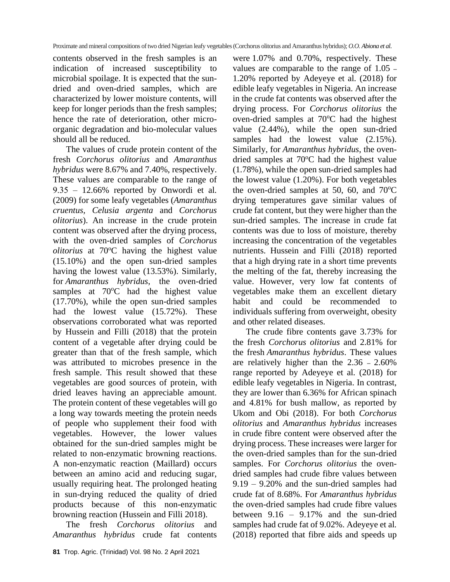contents observed in the fresh samples is an indication of increased susceptibility to microbial spoilage. It is expected that the sundried and oven-dried samples, which are characterized by lower moisture contents, will keep for longer periods than the fresh samples; hence the rate of deterioration, other microorganic degradation and bio-molecular values should all be reduced.

The values of crude protein content of the fresh *Corchorus olitorius* and *Amaranthus hybridus* were 8.67% and 7.40%, respectively. These values are comparable to the range of 9.35 ‒ 12.66% reported by Onwordi et al*.* (2009) for some leafy vegetables (*Amaranthus cruentus, Celusia argenta* and *Corchorus olitorius*). An increase in the crude protein content was observed after the drying process, with the oven-dried samples of *Corchorus olitorius* at 70°C having the highest value (15.10%) and the open sun-dried samples having the lowest value (13.53%). Similarly, for *Amaranthus hybridus*, the oven-dried samples at  $70^{\circ}$ C had the highest value (17.70%), while the open sun-dried samples had the lowest value (15.72%). These observations corroborated what was reported by Hussein and Filli (2018) that the protein content of a vegetable after drying could be greater than that of the fresh sample, which was attributed to microbes presence in the fresh sample. This result showed that these vegetables are good sources of protein, with dried leaves having an appreciable amount. The protein content of these vegetables will go a long way towards meeting the protein needs of people who supplement their food with vegetables. However, the lower values obtained for the sun-dried samples might be related to non-enzymatic browning reactions. A non-enzymatic reaction (Maillard) occurs between an amino acid and reducing sugar, usually requiring heat. The prolonged heating in sun-drying reduced the quality of dried products because of this non-enzymatic browning reaction (Hussein and Filli 2018).

The fresh *Corchorus olitorius* and *Amaranthus hybridus* crude fat contents

were 1.07% and 0.70%, respectively. These values are comparable to the range of 1.05 **–** 1.20% reported by Adeyeye et al*.* (2018) for edible leafy vegetables in Nigeria. An increase in the crude fat contents was observed after the drying process. For *Corchorus olitorius* the oven-dried samples at  $70^{\circ}$ C had the highest value (2.44%), while the open sun-dried samples had the lowest value  $(2.15\%)$ . Similarly, for *Amaranthus hybridus*, the ovendried samples at  $70^{\circ}$ C had the highest value (1.78%), while the open sun-dried samples had the lowest value (1.20%). For both vegetables the oven-dried samples at 50, 60, and  $70^{\circ}$ C drying temperatures gave similar values of crude fat content, but they were higher than the sun-dried samples. The increase in crude fat contents was due to loss of moisture, thereby increasing the concentration of the vegetables nutrients. Hussein and Filli (2018) reported that a high drying rate in a short time prevents the melting of the fat, thereby increasing the value. However, very low fat contents of vegetables make them an excellent dietary habit and could be recommended to individuals suffering from overweight, obesity and other related diseases.

The crude fibre contents gave 3.73% for the fresh *Corchorus olitorius* and 2.81% for the fresh *Amaranthus hybridus*. These values are relatively higher than the 2.36 **–** 2.60% range reported by Adeyeye et al*.* (2018) for edible leafy vegetables in Nigeria. In contrast, they are lower than 6.36% for African spinach and 4.81% for bush mallow, as reported by Ukom and Obi (2018). For both *Corchorus olitorius* and *Amaranthus hybridus* increases in crude fibre content were observed after the drying process. These increases were larger for the oven-dried samples than for the sun-dried samples. For *Corchorus olitorius* the ovendried samples had crude fibre values between 9.19 – 9.20% and the sun-dried samples had crude fat of 8.68%. For *Amaranthus hybridus*  the oven-dried samples had crude fibre values between 9.16 – 9.17% and the sun-dried samples had crude fat of 9.02%. Adeyeye et al*.* (2018) reported that fibre aids and speeds up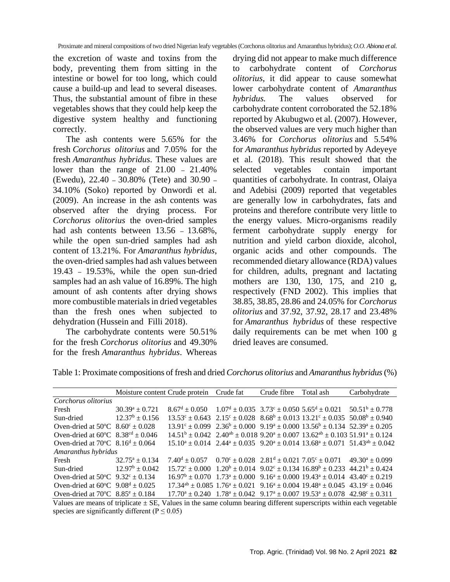the excretion of waste and toxins from the body, preventing them from sitting in the intestine or bowel for too long, which could cause a build-up and lead to several diseases. Thus, the substantial amount of fibre in these vegetables shows that they could help keep the digestive system healthy and functioning correctly.

The ash contents were 5.65% for the fresh *Corchorus olitorius* and 7.05% for the fresh *Amaranthus hybridus*. These values are lower than the range of 21.00 **–** 21.40% (Ewedu), 22.40 **–** 30.80% (Tete) and 30.90 **–** 34.10% (Soko) reported by Onwordi et al*.* (2009). An increase in the ash contents was observed after the drying process. For *Corchorus olitorius* the oven-dried samples had ash contents between 13.56 **–** 13.68%, while the open sun-dried samples had ash content of 13.21%. For *Amaranthus hybridus*, the oven-dried samples had ash values between 19.43 **–** 19.53%, while the open sun-dried samples had an ash value of 16.89%. The high amount of ash contents after drying shows more combustible materials in dried vegetables than the fresh ones when subjected to dehydration (Hussein and Filli 2018).

The carbohydrate contents were 50.51% for the fresh *Corchorus olitorius* and 49.30% for the fresh *Amaranthus hybridus*. Whereas drying did not appear to make much difference to carbohydrate content of *Corchorus olitorius*, it did appear to cause somewhat lower carbohydrate content of *Amaranthus hybridus.* The values observed for carbohydrate content corroborated the 52.18% reported by Akubugwo et al*.* (2007). However, the observed values are very much higher than 3.46% for *Corchorus olitorius* and 5.54% for *Amaranthus hybridus* reported by Adeyeye et al*.* (2018). This result showed that the selected vegetables contain important quantities of carbohydrate. In contrast, Olaiya and Adebisi (2009) reported that vegetables are generally low in carbohydrates, fats and proteins and therefore contribute very little to the energy values. Micro-organisms readily ferment carbohydrate supply energy for nutrition and yield carbon dioxide, alcohol, organic acids and other compounds. The recommended dietary allowance (RDA) values for children, adults, pregnant and lactating mothers are 130, 130, 175, and 210 g, respectively (FND 2002). This implies that 38.85, 38.85, 28.86 and 24.05% for *Corchorus olitorius* and 37.92, 37.92, 28.17 and 23.48% for *Amaranthus hybridus* of these respective daily requirements can be met when 100 g dried leaves are consumed.

|                                                       | Moisture content Crude protein Crude fat |                                                                                                                                 |  | Crude fibre | Total ash                                                                                                                         | Carbohydrate                                                                                         |  |  |
|-------------------------------------------------------|------------------------------------------|---------------------------------------------------------------------------------------------------------------------------------|--|-------------|-----------------------------------------------------------------------------------------------------------------------------------|------------------------------------------------------------------------------------------------------|--|--|
| Corchorus olitorius                                   |                                          |                                                                                                                                 |  |             |                                                                                                                                   |                                                                                                      |  |  |
| Fresh                                                 | $30.39^a \pm 0.721$                      | $8.67^d \pm 0.050$ $1.07^d \pm 0.035$ $3.73^c \pm 0.050$ $5.65^d \pm 0.021$                                                     |  |             |                                                                                                                                   | $50.51^b \pm 0.778$                                                                                  |  |  |
| Sun-dried                                             | $12.37^b + 0.156$                        | $13.53^{\circ} \pm 0.643$ $2.15^{\circ} \pm 0.028$ $8.68^{\circ} \pm 0.013$ $13.21^{\circ} \pm 0.035$ $50.08^{\circ} \pm 0.940$ |  |             |                                                                                                                                   |                                                                                                      |  |  |
| Oven-dried at $50^{\circ}$ C $8.60^{\circ} \pm 0.028$ |                                          | $13.91^{\circ} \pm 0.099$ $2.36^{\circ} \pm 0.000$ $9.19^{\circ} \pm 0.000$ $13.56^{\circ} \pm 0.134$ $52.39^{\circ} \pm 0.205$ |  |             |                                                                                                                                   |                                                                                                      |  |  |
| Oven-dried at $60^{\circ}$ C $8.38^{\circ}$ + 0.046   |                                          |                                                                                                                                 |  |             | $14.51^{\rm b} \pm 0.042$ $2.40^{\rm ab} \pm 0.018$ $9.20^{\rm a} \pm 0.007$ $13.62^{\rm ab} \pm 0.103$ $51.91^{\rm a} \pm 0.124$ |                                                                                                      |  |  |
| Oven-dried at $70^{\circ}$ C $8.16^{\circ} + 0.064$   |                                          |                                                                                                                                 |  |             |                                                                                                                                   | $15.10^a \pm 0.014$ $2.44^a \pm 0.035$ $9.20^a \pm 0.014$ $13.68^a \pm 0.071$ $51.43^{ab} \pm 0.042$ |  |  |
| Amaranthus hybridus                                   |                                          |                                                                                                                                 |  |             |                                                                                                                                   |                                                                                                      |  |  |
| Fresh                                                 | $32.75^a \pm 0.134$                      | $7.40^{\text{d}} \pm 0.057$ $0.70^{\text{c}} \pm 0.028$ $2.81^{\text{d}} \pm 0.021$ $7.05^{\text{c}} \pm 0.071$                 |  |             |                                                                                                                                   | $49.30^a + 0.099$                                                                                    |  |  |
| Sun-dried                                             | $12.97^b \pm 0.042$                      | $15.72^{\circ} \pm 0.000$ $1.20^{\circ} \pm 0.014$ $9.02^{\circ} \pm 0.134$ $16.89^{\circ} \pm 0.233$ $44.21^{\circ} \pm 0.424$ |  |             |                                                                                                                                   |                                                                                                      |  |  |
| Oven-dried at $50^{\circ}$ C $9.32^{\circ} \pm 0.134$ |                                          | $16.97^{\rm b} + 0.070$ $1.73^{\rm a} + 0.000$ $9.16^{\rm a} + 0.000$ $19.43^{\rm a} + 0.014$ $43.40^{\rm c} + 0.219$           |  |             |                                                                                                                                   |                                                                                                      |  |  |
| Oven-dried at $60^{\circ}$ C $9.08^{\circ}$ + 0.025   |                                          |                                                                                                                                 |  |             | $17.34^{ab}$ + 0.085 1.76 <sup>a</sup> + 0.021 9.16 <sup>a</sup> + 0.004 19.48 <sup>a</sup> + 0.045 43.19 <sup>c</sup> + 0.046    |                                                                                                      |  |  |
| Oven-dried at $70^{\circ}$ C $8.85^{\circ} \pm 0.184$ |                                          |                                                                                                                                 |  |             | $17.70^a + 0.240$ $1.78^a + 0.042$ $9.17^a + 0.007$ $19.53^a + 0.078$ $42.98^c + 0.311$                                           |                                                                                                      |  |  |

Table 1: Proximate compositions of fresh and dried *Corchorus olitorius* and *Amaranthus hybridus* (%)

Values are means of triplicate  $\pm$  SE, Values in the same column bearing different superscripts within each vegetable species are significantly different ( $P \le 0.05$ )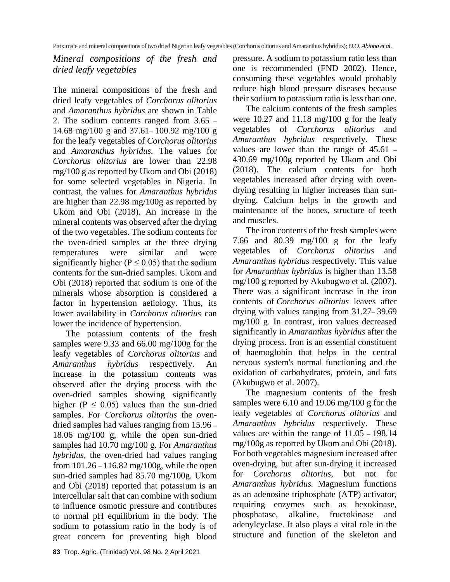*Mineral compositions of the fresh and dried leafy vegetables*

The mineral compositions of the fresh and dried leafy vegetables of *Corchorus olitorius* and *Amaranthus hybridus* are shown in Table 2. The sodium contents ranged from 3.65 **–** 14.68 mg/100 g and 37.61**–** 100.92 mg/100 g for the leafy vegetables of *Corchorus olitorius*  and *Amaranthus hybridus.* The values for *Corchorus olitorius* are lower than 22.98 mg/100 g as reported by Ukom and Obi (2018) for some selected vegetables in Nigeria. In contrast, the values for *Amaranthus hybridus* are higher than 22.98 mg/100g as reported by Ukom and Obi (2018). An increase in the mineral contents was observed after the drying of the two vegetables. The sodium contents for the oven-dried samples at the three drying temperatures were similar and were significantly higher ( $P \le 0.05$ ) that the sodium contents for the sun-dried samples. Ukom and Obi (2018) reported that sodium is one of the minerals whose absorption is considered a factor in hypertension aetiology. Thus, its lower availability in *Corchorus olitorius* can lower the incidence of hypertension.

The potassium contents of the fresh samples were 9.33 and 66.00 mg/100g for the leafy vegetables of *Corchorus olitorius* and *Amaranthus hybridus* respectively*.* An increase in the potassium contents was observed after the drying process with the oven-dried samples showing significantly higher ( $P < 0.05$ ) values than the sun-dried samples. For *Corchorus olitorius* the ovendried samples had values ranging from 15.96 **–** 18.06 mg/100 g, while the open sun-dried samples had 10.70 mg/100 g. For *Amaranthus hybridus*, the oven-dried had values ranging from 101.26 **–** 116.82 mg/100g, while the open sun-dried samples had 85.70 mg/100g. Ukom and Obi (2018) reported that potassium is an intercellular salt that can combine with sodium to influence osmotic pressure and contributes to normal pH equilibrium in the body. The sodium to potassium ratio in the body is of great concern for preventing high blood pressure. A sodium to potassium ratio less than one is recommended (FND 2002). Hence, consuming these vegetables would probably reduce high blood pressure diseases because their sodium to potassium ratio is less than one.

The calcium contents of the fresh samples were 10.27 and 11.18 mg/100 g for the leafy vegetables of *Corchorus olitorius* and *Amaranthus hybridus* respectively*.* These values are lower than the range of 45.61 **–** 430.69 mg/100g reported by Ukom and Obi (2018). The calcium contents for both vegetables increased after drying with ovendrying resulting in higher increases than sundrying. Calcium helps in the growth and maintenance of the bones, structure of teeth and muscles.

The iron contents of the fresh samples were 7.66 and 80.39 mg/100 g for the leafy vegetables of *Corchorus olitorius* and *Amaranthus hybridus* respectively*.* This value for *Amaranthus hybridus* is higher than 13.58 mg/100 g reported by Akubugwo et al*.* (2007). There was a significant increase in the iron contents of *Corchorus olitorius* leaves after drying with values ranging from 31.27**–** 39.69 mg/100 g. In contrast, iron values decreased significantly in *Amaranthus hybridus* after the drying process. Iron is an essential constituent of haemoglobin that helps in the central nervous system's normal functioning and the oxidation of carbohydrates, protein, and fats (Akubugwo et al. 2007).

The magnesium contents of the fresh samples were 6.10 and 19.06 mg/100 g for the leafy vegetables of *Corchorus olitorius* and *Amaranthus hybridus* respectively*.* These values are within the range of 11.05 **–** 198.14 mg/100g as reported by Ukom and Obi (2018). For both vegetables magnesium increased after oven-drying, but after sun-drying it increased for *Corchorus olitorius*, but not for *Amaranthus hybridus.* Magnesium functions as an adenosine triphosphate (ATP) activator, requiring enzymes such as hexokinase, phosphatase, alkaline, fructokinase and adenylcyclase. It also plays a vital role in the structure and function of the skeleton and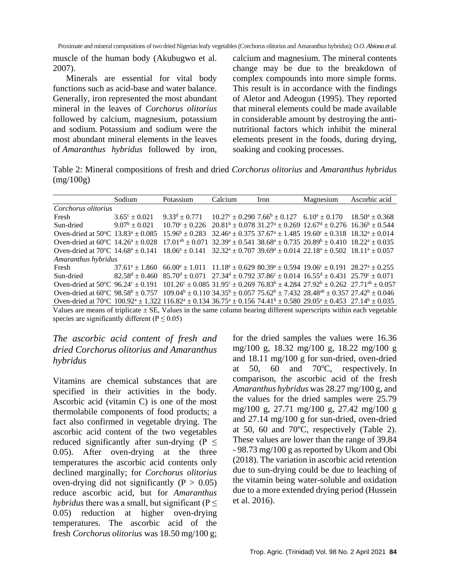muscle of the human body (Akubugwo et al. 2007).

Minerals are essential for vital body functions such as acid-base and water balance. Generally, iron represented the most abundant mineral in the leaves of *Corchorus olitorius*  followed by calcium, magnesium, potassium and sodium*.* Potassium and sodium were the most abundant mineral elements in the leaves of *Amaranthus hybridus* followed by iron, calcium and magnesium. The mineral contents change may be due to the breakdown of complex compounds into more simple forms. This result is in accordance with the findings of Aletor and Adeogun (1995). They reported that mineral elements could be made available in considerable amount by destroying the antinutritional factors which inhibit the mineral elements present in the foods, during drying, soaking and cooking processes.

Table 2: Mineral compositions of fresh and dried *Corchorus olitorius* and *Amaranthus hybridus* (mg/100g)

|                                                                                                                                                                                           | Sodium                   | Potassium                                                                                                                                                                          | Calcium | Iron                                                                                  | Magnesium                                                              | Ascorbic acid       |  |  |
|-------------------------------------------------------------------------------------------------------------------------------------------------------------------------------------------|--------------------------|------------------------------------------------------------------------------------------------------------------------------------------------------------------------------------|---------|---------------------------------------------------------------------------------------|------------------------------------------------------------------------|---------------------|--|--|
| Corchorus olitorius                                                                                                                                                                       |                          |                                                                                                                                                                                    |         |                                                                                       |                                                                        |                     |  |  |
| Fresh                                                                                                                                                                                     | $3.65^{\circ} \pm 0.021$ | $9.33^d + 0.771$                                                                                                                                                                   |         | $10.27^{\circ} \pm 0.290$ 7.66 <sup>b</sup> $\pm$ 0.127 6.10 <sup>e</sup> $\pm$ 0.170 |                                                                        | $18.50^a \pm 0.368$ |  |  |
| Sun-dried                                                                                                                                                                                 | $9.07^b + 0.021$         | $10.70^{\circ} + 0.226$                                                                                                                                                            |         |                                                                                       | $20.81^b \pm 0.07831.27^a \pm 0.26912.67^d \pm 0.27616.36^b \pm 0.544$ |                     |  |  |
| Oven-dried at 50 °C $13.83^a \pm 0.085$                                                                                                                                                   |                          | $15.96^b + 0.283$                                                                                                                                                                  |         |                                                                                       | $32.46^a + 0.37537.67^a + 1.48519.60^c + 0.3181832^a + 0.014$          |                     |  |  |
| Oven-dried at $60^{\circ}$ C 14.26 <sup>a</sup> + 0.028                                                                                                                                   |                          | $17.01^{ab} \pm 0.071$ $32.39^a \pm 0.541$ $38.68^a \pm 0.735$ $20.89^b \pm 0.410$ $18.22^a \pm 0.035$                                                                             |         |                                                                                       |                                                                        |                     |  |  |
| Oven-dried at $70^{\circ}$ C 14.68 <sup>a</sup> + 0.141                                                                                                                                   |                          | $18.06^a \pm 0.141$ $32.32^a \pm 0.707$ $39.69^a \pm 0.014$ $22.18^a \pm 0.502$ $18.11^a \pm 0.057$                                                                                |         |                                                                                       |                                                                        |                     |  |  |
| Amaranthus hybridus                                                                                                                                                                       |                          |                                                                                                                                                                                    |         |                                                                                       |                                                                        |                     |  |  |
| Fresh                                                                                                                                                                                     |                          | $37.61^{\circ}$ + 1.860 66.00 <sup>\circ</sup> + 1.011 11.18 <sup>\circ</sup> + 0.629 80.39 <sup>\circ</sup> + 0.594 19.06 <sup>\circ</sup> + 0.191 28.27 <sup>\circ</sup> + 0.255 |         |                                                                                       |                                                                        |                     |  |  |
| Sun-dried                                                                                                                                                                                 |                          | $82.58^d \pm 0.460$ $85.70^d \pm 0.071$ $27.34^d \pm 0.792$ $37.86^c \pm 0.014$ $16.55^d \pm 0.431$ $25.79^c \pm 0.071$                                                            |         |                                                                                       |                                                                        |                     |  |  |
| Oven-dried at 50 °C 96.24 ° $\pm$ 0.191                                                                                                                                                   |                          | $101.26^{\circ} \pm 0.085$ 31.95° $\pm$ 0.269 76.83 <sup>b</sup> $\pm$ 4.284 27.92 <sup>b</sup> $\pm$ 0.262 27.71 <sup>ab</sup> $\pm$ 0.057                                        |         |                                                                                       |                                                                        |                     |  |  |
| Oven-dried at $60^{\circ}$ C $98.58^{\circ} \pm 0.757$ $109.04^{\circ} \pm 0.110$ $34.35^{\circ} \pm 0.057$ $75.62^{\circ} \pm 7.432$ $28.48^{\circ} \pm 0.357$ $27.42^{\circ} \pm 0.046$ |                          |                                                                                                                                                                                    |         |                                                                                       |                                                                        |                     |  |  |
| Oven-dried at 70°C $100.92^a \pm 1.322$ $116.82^a \pm 0.134$ $36.75^a \pm 0.156$ $74.41^b \pm 0.580$ $29.05^a \pm 0.453$ $27.14^b \pm 0.035$                                              |                          |                                                                                                                                                                                    |         |                                                                                       |                                                                        |                     |  |  |
| Values are means of triplicate $\pm$ SE, Values in the same column bearing different superscripts within each vegetable                                                                   |                          |                                                                                                                                                                                    |         |                                                                                       |                                                                        |                     |  |  |

species are significantly different ( $P \le 0.05$ )

### *The ascorbic acid content of fresh and dried Corchorus olitorius and Amaranthus hybridus*

Vitamins are chemical substances that are specified in their activities in the body. Ascorbic acid (vitamin C) is one of the most thermolabile components of food products; a fact also confirmed in vegetable drying. The ascorbic acid content of the two vegetables reduced significantly after sun-drying ( $P \leq$ 0.05). After oven-drying at the three temperatures the ascorbic acid contents only declined marginally; for *Corchorus olitorius*  oven-drying did not significantly ( $P > 0.05$ ) reduce ascorbic acid, but for *Amaranthus hybridus* there was a small, but significant ( $P \leq$ 0.05) reduction at higher oven-drying temperatures. The ascorbic acid of the fresh *Corchorus olitorius* was 18.50 mg/100 g; for the dried samples the values were 16.36 mg/100 g, 18.32 mg/100 g, 18.22 mg/100 g and 18.11 mg/100 g for sun-dried, oven-dried at 50, 60 and 70 $^{\circ}$ C, respectively. In comparison, the ascorbic acid of the fresh *Amaranthus hybridus* was 28.27 mg/100 g, and the values for the dried samples were 25.79 mg/100 g, 27.71 mg/100 g, 27.42 mg/100 g and 27.14 mg/100 g for sun-dried, oven-dried at 50, 60 and 70 $\degree$ C, respectively (Table 2). These values are lower than the range of 39.84 - 98.73 mg/100 g as reported by Ukom and Obi (2018). The variation in ascorbic acid retention due to sun-drying could be due to leaching of the vitamin being water-soluble and oxidation due to a more extended drying period (Hussein et al. 2016).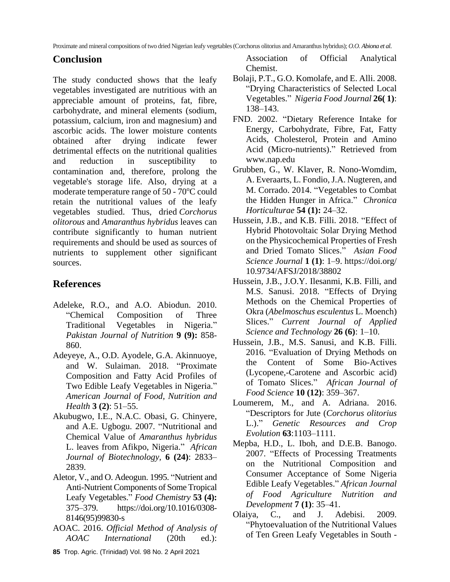#### **Conclusion**

The study conducted shows that the leafy vegetables investigated are nutritious with an appreciable amount of proteins, fat, fibre, carbohydrate, and mineral elements (sodium, potassium, calcium, iron and magnesium) and ascorbic acids. The lower moisture contents obtained after drying indicate fewer detrimental effects on the nutritional qualities and reduction in susceptibility to contamination and, therefore, prolong the vegetable's storage life. Also, drying at a moderate temperature range of  $50 - 70^{\circ}$ C could retain the nutritional values of the leafy vegetables studied. Thus, dried *Corchorus olitorous* and *Amaranthus hybridus* leaves can contribute significantly to human nutrient requirements and should be used as sources of nutrients to supplement other significant sources.

## **References**

- Adeleke, R.O., and A.O. Abiodun. 2010. "Chemical Composition of Three Traditional Vegetables in Nigeria." *Pakistan Journal of Nutrition* **9 (9):** 858- 860.
- Adeyeye, A., O.D. Ayodele, G.A. Akinnuoye, and W. Sulaiman. 2018. "Proximate Composition and Fatty Acid Profiles of Two Edible Leafy Vegetables in Nigeria." *American Journal of Food, Nutrition and Health* **3 (2)**: 51‒55.
- Akubugwo, I.E., N.A.C. Obasi, G. Chinyere, and A.E. Ugbogu. 2007. "Nutritional and Chemical Value of *Amaranthus hybridus* L. leaves from Afikpo, Nigeria." *African Journal of Biotechnology,* **6 (24)**: 2833‒ 2839.
- Aletor, V., and O. Adeogun. 1995. "Nutrient and Anti-Nutrient Components of Some Tropical Leafy Vegetables." *Food Chemistry* **53 (4):** 375‒379. https://doi.org/10.1016/0308- 8146(95)99830-s
- AOAC. 2016. *Official Method of Analysis of AOAC International* (20th ed.):

Association of Official Analytical Chemist.

- Bolaji, P.T., G.O. Komolafe, and E. Alli. 2008. "Drying Characteristics of Selected Local Vegetables." *Nigeria Food Journal* **26( 1)**: 138‒143.
- FND. 2002. "Dietary Reference Intake for Energy, Carbohydrate, Fibre, Fat, Fatty Acids, Cholesterol, Protein and Amino Acid (Micro-nutrients)." Retrieved from [www.nap.edu](http://www.nap.edu/)
- Grubben, G., W. Klaver, R. Nono-Womdim, A. Everaarts, L. Fondio, J.A. Nugteren, and M. Corrado. 2014. "Vegetables to Combat the Hidden Hunger in Africa." *Chronica Horticulturae* **54 (1):** 24‒32.
- Hussein, J.B., and K.B. Filli. 2018. "Effect of Hybrid Photovoltaic Solar Drying Method on the Physicochemical Properties of Fresh and Dried Tomato Slices." *Asian Food Science Journal* **1 (1)**: 1‒9. https://doi.org/ 10.9734/AFSJ/2018/38802
- Hussein, J.B., J.O.Y. Ilesanmi, K.B. Filli, and M.S. Sanusi. 2018. "Effects of Drying Methods on the Chemical Properties of Okra (*Abelmoschus esculentus* L. Moench) Slices." *Current Journal of Applied Science and Technology* **26 (6)**: 1‒10.
- Hussein, J.B., M.S. Sanusi, and K.B. Filli. 2016. "Evaluation of Drying Methods on the Content of Some Bio-Actives (Lycopene,-Carotene and Ascorbic acid) of Tomato Slices." *African Journal of Food Science* **10 (12)**: 359‒367.
- Loumerem, M., and A. Adriana. 2016. "Descriptors for Jute (*Corchorus olitorius* L.)." *Genetic Resources and Crop Evolution* **63**:1103‒1111.
- Mepba, H.D., L. Iboh, and D.E.B. Banogo. 2007. "Effects of Processing Treatments on the Nutritional Composition and Consumer Acceptance of Some Nigeria Edible Leafy Vegetables." *African Journal of Food Agriculture Nutrition and Development* **7 (1)**: 35‒41.
- Olaiya, C., and J. Adebisi. 2009. "Phytoevaluation of the Nutritional Values of Ten Green Leafy Vegetables in South -